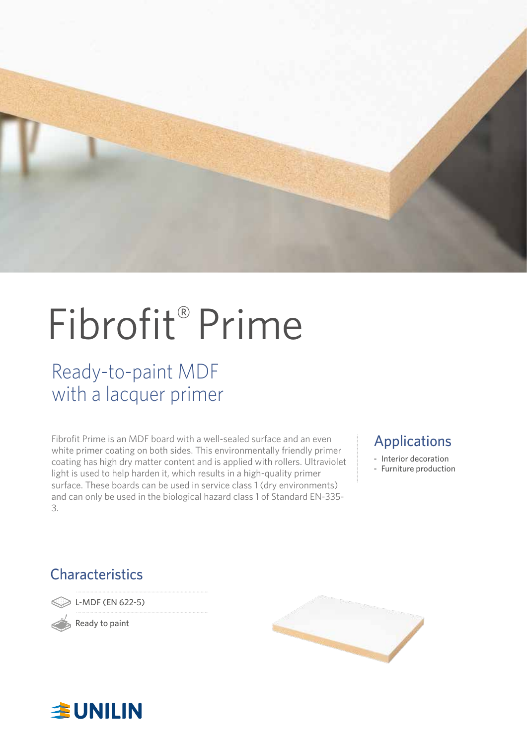

# Fibrofit® Prime

### Ready-to-paint MDF with a lacquer primer

Fibrofit Prime is an MDF board with a well-sealed surface and an even white primer coating on both sides. This environmentally friendly primer coating has high dry matter content and is applied with rollers. Ultraviolet light is used to help harden it, which results in a high-quality primer surface. These boards can be used in service class 1 (dry environments) and can only be used in the biological hazard class 1 of Standard EN-335- 3.

### Applications

- Interior decoration
- Furniture production

### **Characteristics**

L-MDF (EN 622-5)

Ready to paint